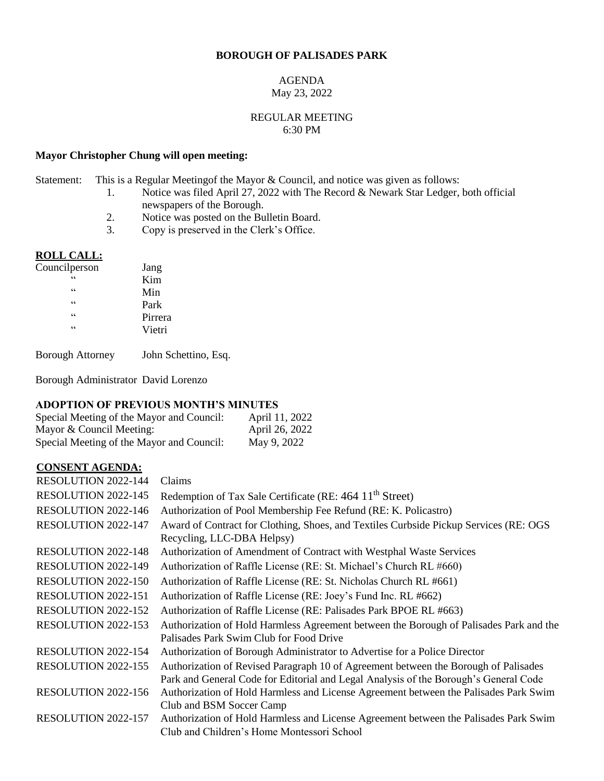#### **BOROUGH OF PALISADES PARK**

#### AGENDA May 23, 2022

#### REGULAR MEETING 6:30 PM

## **Mayor Christopher Chung will open meeting:**

Statement: This is a Regular Meetingof the Mayor & Council, and notice was given as follows:

- 1. Notice was filed April 27, 2022 with The Record & Newark Star Ledger, both official newspapers of the Borough.
- 2. Notice was posted on the Bulletin Board.
- 3. Copy is preserved in the Clerk's Office.

#### **ROLL CALL:**  $\overline{\text{Cou}}$

| uncilperson | Jang    |
|-------------|---------|
| 66          | Kim     |
| 66          | Min     |
| 66          | Park    |
| 66          | Pirrera |
| 66          | Vietri  |
|             |         |

Borough Attorney John Schettino, Esq.

Borough Administrator David Lorenzo

## **ADOPTION OF PREVIOUS MONTH'S MINUTES**

| Special Meeting of the Mayor and Council: | April 11, 2022 |
|-------------------------------------------|----------------|
| Mayor & Council Meeting:                  | April 26, 2022 |
| Special Meeting of the Mayor and Council: | May 9, 2022    |

## **CONSENT AGENDA:**

| <b>RESOLUTION 2022-144</b> | Claims                                                                                                                                                                      |
|----------------------------|-----------------------------------------------------------------------------------------------------------------------------------------------------------------------------|
| RESOLUTION 2022-145        | Redemption of Tax Sale Certificate (RE: 464 11 <sup>th</sup> Street)                                                                                                        |
| RESOLUTION 2022-146        | Authorization of Pool Membership Fee Refund (RE: K. Policastro)                                                                                                             |
| RESOLUTION 2022-147        | Award of Contract for Clothing, Shoes, and Textiles Curbside Pickup Services (RE: OGS)<br>Recycling, LLC-DBA Helpsy)                                                        |
| <b>RESOLUTION 2022-148</b> | Authorization of Amendment of Contract with Westphal Waste Services                                                                                                         |
| RESOLUTION 2022-149        | Authorization of Raffle License (RE: St. Michael's Church RL #660)                                                                                                          |
| <b>RESOLUTION 2022-150</b> | Authorization of Raffle License (RE: St. Nicholas Church RL #661)                                                                                                           |
| RESOLUTION 2022-151        | Authorization of Raffle License (RE: Joey's Fund Inc. RL #662)                                                                                                              |
| <b>RESOLUTION 2022-152</b> | Authorization of Raffle License (RE: Palisades Park BPOE RL #663)                                                                                                           |
| RESOLUTION 2022-153        | Authorization of Hold Harmless Agreement between the Borough of Palisades Park and the<br>Palisades Park Swim Club for Food Drive                                           |
| RESOLUTION 2022-154        | Authorization of Borough Administrator to Advertise for a Police Director                                                                                                   |
| RESOLUTION 2022-155        | Authorization of Revised Paragraph 10 of Agreement between the Borough of Palisades<br>Park and General Code for Editorial and Legal Analysis of the Borough's General Code |
| RESOLUTION 2022-156        | Authorization of Hold Harmless and License Agreement between the Palisades Park Swim<br>Club and BSM Soccer Camp                                                            |
| RESOLUTION 2022-157        | Authorization of Hold Harmless and License Agreement between the Palisades Park Swim<br>Club and Children's Home Montessori School                                          |